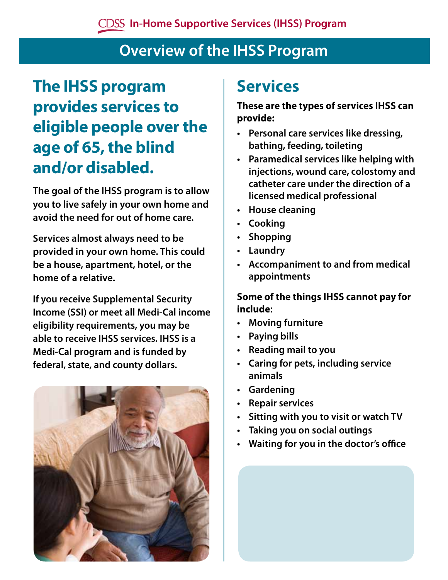## **Overview of the IHSS Program**

# **The IHSS program provides services to eligible people over the age of 65, the blind and/or disabled.**

**The goal of the IHSS program is to allow you to live safely in your own home and avoid the need for out of home care.**

**Services almost always need to be provided in your own home. This could be a house, apartment, hotel, or the home of a relative.**

**If you receive Supplemental Security Income (SSI) or meet all Medi-Cal income eligibility requirements, you may be able to receive IHSS services. IHSS is a Medi-Cal program and is funded by federal, state, and county dollars.**



## **Services**

#### **These are the types of services IHSS can provide:**

- **Personal care services like dressing, bathing, feeding, toileting**
- **Paramedical services like helping with injections, wound care, colostomy and catheter care under the direction of a licensed medical professional**
- **House cleaning**
- **Cooking**
- **Shopping**
- **Laundry**
- **Accompaniment to and from medical appointments**

#### **Some of the things IHSS cannot pay for include:**

- **Moving furniture**
- **Paying bills**
- **Reading mail to you**
- **Caring for pets, including service animals**
- **Gardening**
- **Repair services**
- **Sitting with you to visit or watch TV**
- **Taking you on social outings**
- **Waiting for you in the doctor's office**